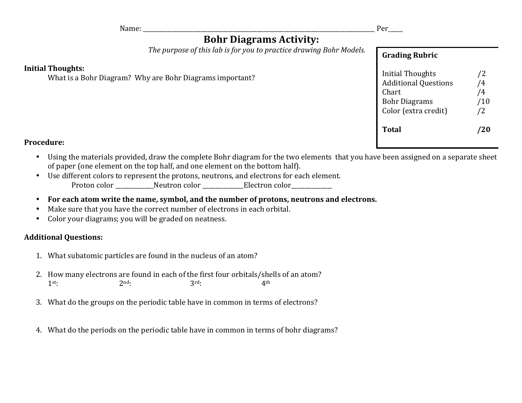Name: \_\_\_\_\_\_\_\_\_\_\_\_\_\_\_\_\_\_\_\_\_\_\_\_\_\_\_\_\_\_\_\_\_\_\_\_\_\_\_\_\_\_\_\_\_\_\_\_\_\_\_\_\_\_\_\_\_\_\_\_\_\_\_\_\_\_\_\_\_\_\_\_\_\_\_\_\_\_\_ Per\_\_\_\_\_

## **Bohr Diagrams Activity:**

The purpose of this lab is for you to practice drawing Bohr Models.

## **Initial Thoughts:**

What is a Bohr Diagram? Why are Bohr Diagrams important?

| <b>Grading Rubric</b>                                                                                           |                                                             |
|-----------------------------------------------------------------------------------------------------------------|-------------------------------------------------------------|
| <b>Initial Thoughts</b><br><b>Additional Questions</b><br>Chart<br><b>Bohr Diagrams</b><br>Color (extra credit) | /2<br>$\overline{\mathbf{4}}$<br>$\frac{4}{3}$<br>/10<br>/2 |
| Total                                                                                                           |                                                             |

## **Procedure:**

- Using the materials provided, draw the complete Bohr diagram for the two elements that you have been assigned on a separate sheet of paper (one element on the top half, and one element on the bottom half).
- Use different colors to represent the protons, neutrons, and electrons for each element. Proton color \_\_\_\_\_\_\_\_\_\_\_\_Neutron color \_\_\_\_\_\_\_\_\_\_\_\_\_Electron color\_\_\_\_\_\_\_\_\_\_\_\_\_\_
- For each atom write the name, symbol, and the number of protons, neutrons and electrons.
- Make sure that you have the correct number of electrons in each orbital.
- Color your diagrams; you will be graded on neatness.

## **Additional Questions:**

- 1. What subatomic particles are found in the nucleus of an atom?
- 2. How many electrons are found in each of the first four orbitals/shells of an atom?  $1^{st}$ :  $2^{nd}$ :  $3^{rd}$ :  $4^{th}$
- 3. What do the groups on the periodic table have in common in terms of electrons?
- 4. What do the periods on the periodic table have in common in terms of bohr diagrams?